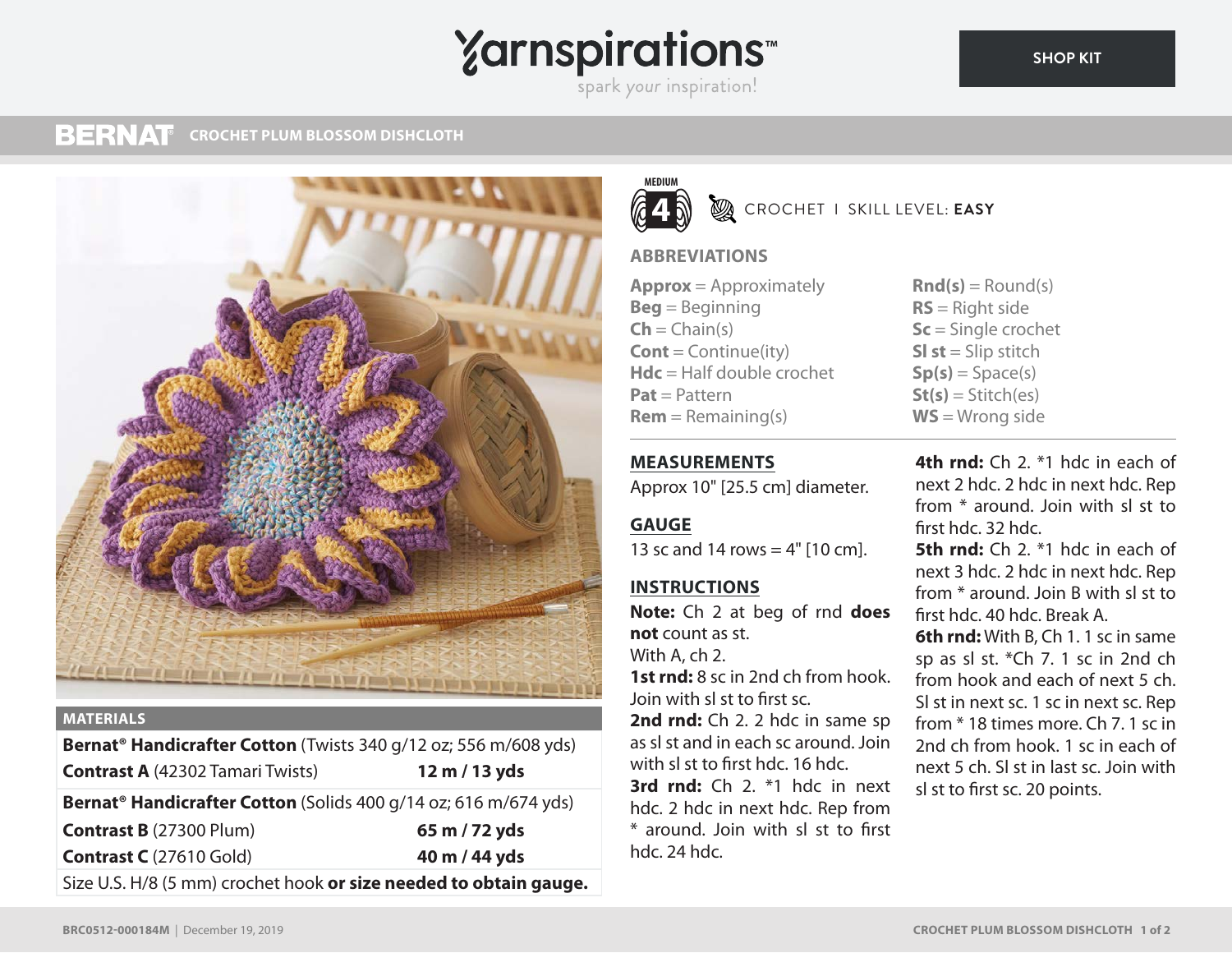# **Yarnspirations**

#### **BERNAT CROCHET PLUM BLOSSOM DISHCLOTH**



### **MATERIALS**

**Bernat® Handicrafter Cotton** (Twists 340 g/12 oz; 556 m/608 yds) **Contrast A** (42302 Tamari Twists) **12 m / 13 yds Bernat® Handicrafter Cotton** (Solids 400 g/14 oz; 616 m/674 yds) **Contrast B** (27300 Plum) **65 m / 72 yds Contrast C** (27610 Gold) **40 m / 44 yds** Size U.S. H/8 (5 mm) crochet hook **or size needed to obtain gauge.**



**B** CROCHET I SKILL LEVEL: **EASY** 

## **ABBREVIATIONS**

**MEASUREMENTS**

**INSTRUCTIONS**

**not** count as st. With A, ch 2.

hdc. 24 hdc.

Join with sl st to first sc.

**GAUGE**

**Approx** = Approximately **Beg** = Beginning  $\mathsf{Ch} = \mathsf{Chain}(s)$ **Cont** = Continue(ity) **Hdc** = Half double crochet **Pat** = Pattern  $Rem = Remaining(s)$ 

Approx 10" [25.5 cm] diameter.

13 sc and 14 rows  $=$  4" [10 cm].

**Note:** Ch 2 at beg of rnd **does** 

**1st rnd:** 8 sc in 2nd ch from hook.

2nd rnd: Ch 2. 2 hdc in same sp as sl st and in each sc around. Join with sl st to first hdc. 16 hdc.

**3rd rnd:** Ch 2. \*1 hdc in next hdc. 2 hdc in next hdc. Rep from \* around. Join with sl st to first

 $\text{Rnd}(s) = \text{Round}(s)$ **RS** = Right side **Sc** = Single crochet **Sl st** = Slip stitch  $Sp(s) = Space(s)$  $St(s) = Stitch(es)$ **WS** = Wrong side

**4th rnd:** Ch 2. \*1 hdc in each of next 2 hdc. 2 hdc in next hdc. Rep from \* around. Join with sl st to first hdc. 32 hdc. **5th rnd:** Ch 2. \*1 hdc in each of next 3 hdc. 2 hdc in next hdc. Rep from \* around. Join B with sl st to first hdc. 40 hdc. Break A. **6th rnd:** With B, Ch 1. 1 sc in same sp as sl st. \*Ch 7. 1 sc in 2nd ch from hook and each of next 5 ch. Sl st in next sc. 1 sc in next sc. Rep from \* 18 times more. Ch 7. 1 sc in 2nd ch from hook. 1 sc in each of next 5 ch. Sl st in last sc. Join with sl st to first sc. 20 points.